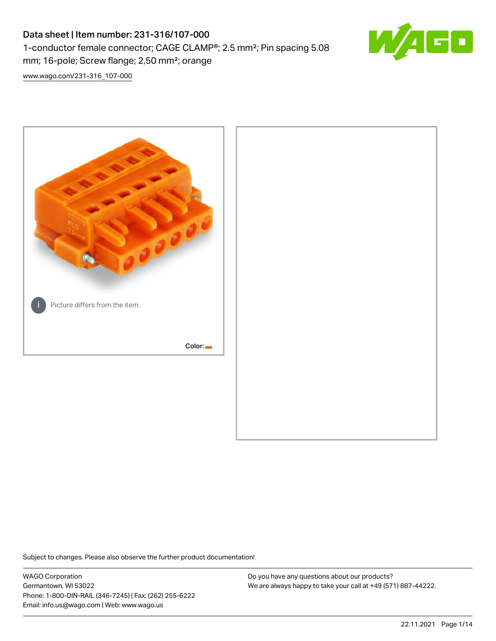# Data sheet | Item number: 231-316/107-000 1-conductor female connector; CAGE CLAMP®; 2.5 mm²; Pin spacing 5.08 mm; 16-pole; Screw flange; 2,50 mm²; orange



[www.wago.com/231-316\\_107-000](http://www.wago.com/231-316_107-000)



Subject to changes. Please also observe the further product documentation!

WAGO Corporation Germantown, WI 53022 Phone: 1-800-DIN-RAIL (346-7245) | Fax: (262) 255-6222 Email: info.us@wago.com | Web: www.wago.us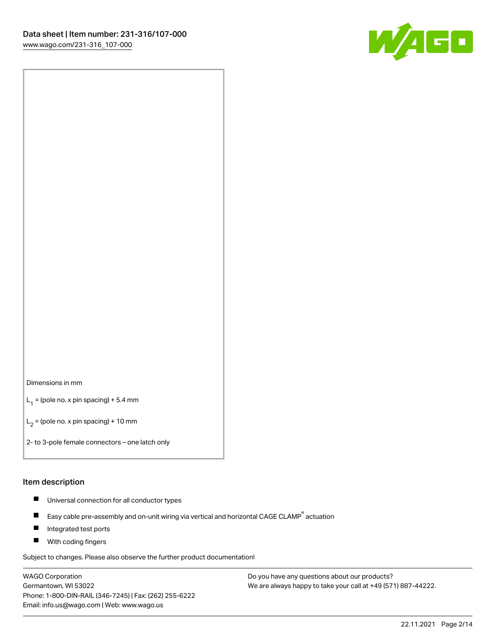

#### Dimensions in mm

 $L_1$  = (pole no. x pin spacing) + 5.4 mm

 $L_2$  = (pole no. x pin spacing) + 10 mm

2- to 3-pole female connectors – one latch only

#### Item description

- $\blacksquare$ Universal connection for all conductor types
- Easy cable pre-assembly and on-unit wiring via vertical and horizontal CAGE CLAMP<sup>®</sup> actuation  $\blacksquare$
- П Integrated test ports
- $\blacksquare$ With coding fingers

Subject to changes. Please also observe the further product documentation!

WAGO Corporation Germantown, WI 53022 Phone: 1-800-DIN-RAIL (346-7245) | Fax: (262) 255-6222 Email: info.us@wago.com | Web: www.wago.us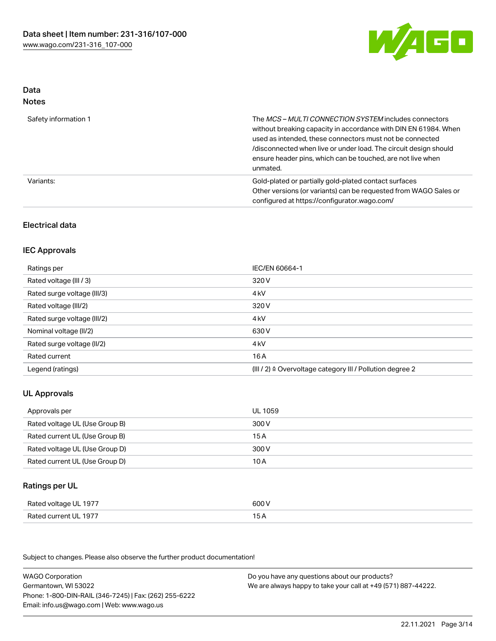

# Data

| w<br>×<br>×<br>۹<br>٠<br>۰, |
|-----------------------------|
|-----------------------------|

| Safety information 1 | The <i>MCS – MULTI CONNECTION SYSTEM</i> includes connectors<br>without breaking capacity in accordance with DIN EN 61984. When<br>used as intended, these connectors must not be connected<br>/disconnected when live or under load. The circuit design should<br>ensure header pins, which can be touched, are not live when<br>unmated. |
|----------------------|--------------------------------------------------------------------------------------------------------------------------------------------------------------------------------------------------------------------------------------------------------------------------------------------------------------------------------------------|
| Variants:            | Gold-plated or partially gold-plated contact surfaces<br>Other versions (or variants) can be requested from WAGO Sales or<br>configured at https://configurator.wago.com/                                                                                                                                                                  |

## Electrical data

## IEC Approvals

| Ratings per                 | IEC/EN 60664-1                                                       |
|-----------------------------|----------------------------------------------------------------------|
| Rated voltage (III / 3)     | 320 V                                                                |
| Rated surge voltage (III/3) | 4 <sub>kV</sub>                                                      |
| Rated voltage (III/2)       | 320 V                                                                |
| Rated surge voltage (III/2) | 4 <sub>kV</sub>                                                      |
| Nominal voltage (II/2)      | 630 V                                                                |
| Rated surge voltage (II/2)  | 4 <sub>kV</sub>                                                      |
| Rated current               | 16 A                                                                 |
| Legend (ratings)            | (III / 2) $\triangleq$ Overvoltage category III / Pollution degree 2 |

## UL Approvals

| Approvals per                  | UL 1059 |
|--------------------------------|---------|
| Rated voltage UL (Use Group B) | 300 V   |
| Rated current UL (Use Group B) | 15 A    |
| Rated voltage UL (Use Group D) | 300 V   |
| Rated current UL (Use Group D) | 10 A    |

# Ratings per UL

| Rated voltage UL 1977 | 600 V |
|-----------------------|-------|
| Rated current UL 1977 | 15 A  |

Subject to changes. Please also observe the further product documentation!

| <b>WAGO Corporation</b>                                | Do you have any questions about our products?                 |
|--------------------------------------------------------|---------------------------------------------------------------|
| Germantown, WI 53022                                   | We are always happy to take your call at +49 (571) 887-44222. |
| Phone: 1-800-DIN-RAIL (346-7245)   Fax: (262) 255-6222 |                                                               |
| Email: info.us@wago.com   Web: www.wago.us             |                                                               |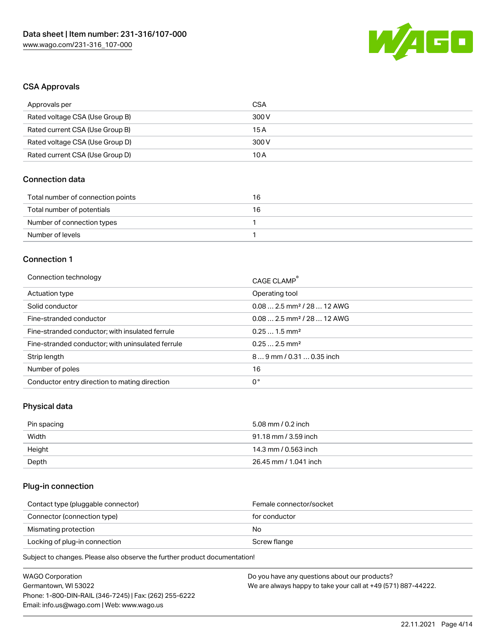

## CSA Approvals

| Approvals per                   | CSA   |
|---------------------------------|-------|
| Rated voltage CSA (Use Group B) | 300 V |
| Rated current CSA (Use Group B) | 15 A  |
| Rated voltage CSA (Use Group D) | 300 V |
| Rated current CSA (Use Group D) | 10 A  |

## Connection data

| Total number of connection points | 16 |
|-----------------------------------|----|
| Total number of potentials        | 16 |
| Number of connection types        |    |
| Number of levels                  |    |

## Connection 1

| Connection technology                             | CAGE CLAMP <sup>®</sup>                 |
|---------------------------------------------------|-----------------------------------------|
| Actuation type                                    | Operating tool                          |
| Solid conductor                                   | $0.082.5$ mm <sup>2</sup> / 28  12 AWG  |
| Fine-stranded conductor                           | $0.08$ 2.5 mm <sup>2</sup> / 28  12 AWG |
| Fine-stranded conductor; with insulated ferrule   | $0.251.5$ mm <sup>2</sup>               |
| Fine-stranded conductor; with uninsulated ferrule | $0.252.5$ mm <sup>2</sup>               |
| Strip length                                      | 89 mm / 0.31  0.35 inch                 |
| Number of poles                                   | 16                                      |
| Conductor entry direction to mating direction     | 0°                                      |

# Physical data

| Pin spacing | 5.08 mm / 0.2 inch    |
|-------------|-----------------------|
| Width       | 91.18 mm / 3.59 inch  |
| Height      | 14.3 mm / 0.563 inch  |
| Depth       | 26.45 mm / 1.041 inch |

## Plug-in connection

| Contact type (pluggable connector) | Female connector/socket |
|------------------------------------|-------------------------|
| Connector (connection type)        | for conductor           |
| Mismating protection               | No                      |
| Locking of plug-in connection      | Screw flange            |
|                                    |                         |

Subject to changes. Please also observe the further product documentation!

| WAGO Corporation                                       | Do you have any questions about our products?                 |
|--------------------------------------------------------|---------------------------------------------------------------|
| Germantown, WI 53022                                   | We are always happy to take your call at +49 (571) 887-44222. |
| Phone: 1-800-DIN-RAIL (346-7245)   Fax: (262) 255-6222 |                                                               |
| Email: info.us@wago.com   Web: www.wago.us             |                                                               |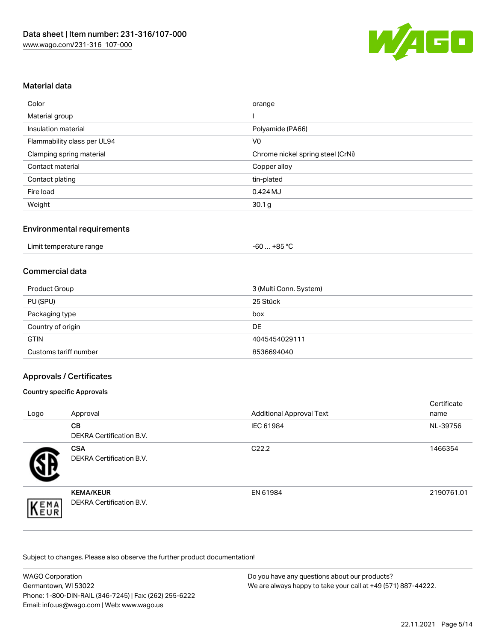

## Material data

| Color                       | orange                            |
|-----------------------------|-----------------------------------|
| Material group              |                                   |
| Insulation material         | Polyamide (PA66)                  |
| Flammability class per UL94 | V <sub>0</sub>                    |
| Clamping spring material    | Chrome nickel spring steel (CrNi) |
| Contact material            | Copper alloy                      |
| Contact plating             | tin-plated                        |
| Fire load                   | 0.424 MJ                          |
| Weight                      | 30.1 <sub>g</sub>                 |

## Environmental requirements

|  | Limit temperature range | −60 … +85 °Ր |  |
|--|-------------------------|--------------|--|
|--|-------------------------|--------------|--|

## Commercial data

| Product Group         | 3 (Multi Conn. System) |
|-----------------------|------------------------|
| PU (SPU)              | 25 Stück               |
| Packaging type        | box                    |
| Country of origin     | DE                     |
| <b>GTIN</b>           | 4045454029111          |
| Customs tariff number | 8536694040             |

## Approvals / Certificates

#### Country specific Approvals

| Logo | Approval                                            | <b>Additional Approval Text</b> | Certificate<br>name |
|------|-----------------------------------------------------|---------------------------------|---------------------|
|      | CВ<br><b>DEKRA Certification B.V.</b>               | IEC 61984                       | NL-39756            |
|      | <b>CSA</b><br>DEKRA Certification B.V.              | C <sub>22.2</sub>               | 1466354             |
| EMA  | <b>KEMA/KEUR</b><br><b>DEKRA Certification B.V.</b> | EN 61984                        | 2190761.01          |

Subject to changes. Please also observe the further product documentation!

| <b>WAGO Corporation</b>                                | Do you have any questions about our products?                 |
|--------------------------------------------------------|---------------------------------------------------------------|
| Germantown, WI 53022                                   | We are always happy to take your call at +49 (571) 887-44222. |
| Phone: 1-800-DIN-RAIL (346-7245)   Fax: (262) 255-6222 |                                                               |
| Email: info.us@wago.com   Web: www.wago.us             |                                                               |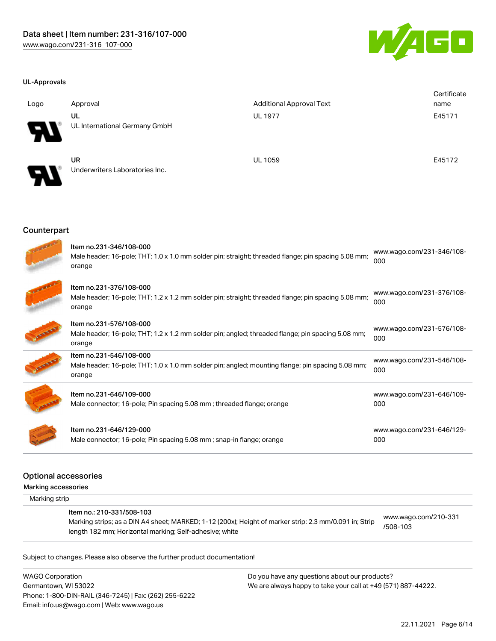

#### UL-Approvals

| Logo                       | Approval                                    | <b>Additional Approval Text</b> | Certificate<br>name |
|----------------------------|---------------------------------------------|---------------------------------|---------------------|
| $\boldsymbol{\theta}$      | UL<br>UL International Germany GmbH         | <b>UL 1977</b>                  | E45171              |
| $\boldsymbol{\mathcal{P}}$ | <b>UR</b><br>Underwriters Laboratories Inc. | <b>UL 1059</b>                  | E45172              |

#### **Counterpart**

| Item no.231-346/108-000<br>Male header; 16-pole; THT; 1.0 x 1.0 mm solder pin; straight; threaded flange; pin spacing 5.08 mm;<br>orange | www.wago.com/231-346/108-<br>000 |
|------------------------------------------------------------------------------------------------------------------------------------------|----------------------------------|
| Item no.231-376/108-000<br>Male header; 16-pole; THT; 1.2 x 1.2 mm solder pin; straight; threaded flange; pin spacing 5.08 mm;<br>orange | www.wago.com/231-376/108-<br>000 |
| Item no.231-576/108-000<br>Male header; 16-pole; THT; 1.2 x 1.2 mm solder pin; angled; threaded flange; pin spacing 5.08 mm;<br>orange   | www.wago.com/231-576/108-<br>000 |
| Item no.231-546/108-000<br>Male header; 16-pole; THT; 1.0 x 1.0 mm solder pin; angled; mounting flange; pin spacing 5.08 mm;<br>orange   | www.wago.com/231-546/108-<br>000 |
| Item no.231-646/109-000<br>Male connector; 16-pole; Pin spacing 5.08 mm; threaded flange; orange                                         | www.wago.com/231-646/109-<br>000 |
| Item no.231-646/129-000<br>Male connector; 16-pole; Pin spacing 5.08 mm; snap-in flange; orange                                          | www.wago.com/231-646/129-<br>000 |

### Optional accessories

Marking accessories

Marking strip

#### Item no.: 210-331/508-103

Marking strips; as a DIN A4 sheet; MARKED; 1-12 (200x); Height of marker strip: 2.3 mm/0.091 in; Strip length 182 mm; Horizontal marking; Self-adhesive; white

[www.wago.com/210-331](http://www.wago.com/210-331/508-103) [/508-103](http://www.wago.com/210-331/508-103)

Subject to changes. Please also observe the further product documentation!

WAGO Corporation Germantown, WI 53022 Phone: 1-800-DIN-RAIL (346-7245) | Fax: (262) 255-6222 Email: info.us@wago.com | Web: www.wago.us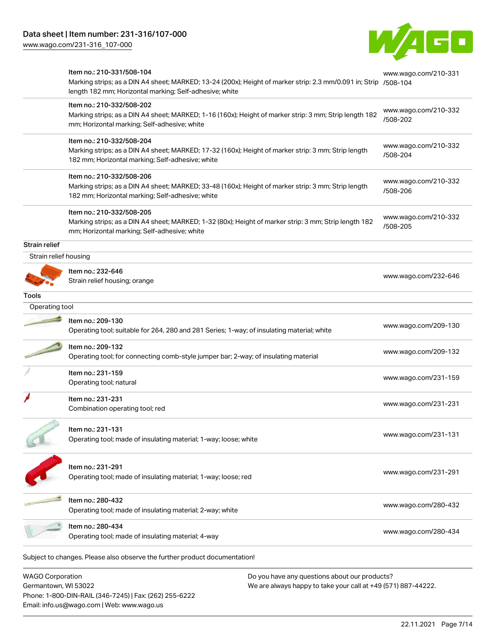[www.wago.com/231-316\\_107-000](http://www.wago.com/231-316_107-000)



|                         | Item no.: 210-331/508-104<br>Marking strips; as a DIN A4 sheet; MARKED; 13-24 (200x); Height of marker strip: 2.3 mm/0.091 in; Strip /508-104<br>length 182 mm; Horizontal marking; Self-adhesive; white | www.wago.com/210-331             |
|-------------------------|----------------------------------------------------------------------------------------------------------------------------------------------------------------------------------------------------------|----------------------------------|
|                         | Item no.: 210-332/508-202<br>Marking strips; as a DIN A4 sheet; MARKED; 1-16 (160x); Height of marker strip: 3 mm; Strip length 182<br>mm; Horizontal marking; Self-adhesive; white                      | www.wago.com/210-332<br>/508-202 |
|                         | Item no.: 210-332/508-204<br>Marking strips; as a DIN A4 sheet; MARKED; 17-32 (160x); Height of marker strip: 3 mm; Strip length<br>182 mm; Horizontal marking; Self-adhesive; white                     | www.wago.com/210-332<br>/508-204 |
|                         | Item no.: 210-332/508-206<br>Marking strips; as a DIN A4 sheet; MARKED; 33-48 (160x); Height of marker strip: 3 mm; Strip length<br>182 mm; Horizontal marking; Self-adhesive; white                     | www.wago.com/210-332<br>/508-206 |
|                         | Item no.: 210-332/508-205<br>Marking strips; as a DIN A4 sheet; MARKED; 1-32 (80x); Height of marker strip: 3 mm; Strip length 182<br>mm; Horizontal marking; Self-adhesive; white                       | www.wago.com/210-332<br>/508-205 |
| <b>Strain relief</b>    |                                                                                                                                                                                                          |                                  |
| Strain relief housing   |                                                                                                                                                                                                          |                                  |
|                         | Item no.: 232-646<br>Strain relief housing; orange                                                                                                                                                       | www.wago.com/232-646             |
| <b>Tools</b>            |                                                                                                                                                                                                          |                                  |
| Operating tool          |                                                                                                                                                                                                          |                                  |
|                         | Item no.: 209-130<br>Operating tool; suitable for 264, 280 and 281 Series; 1-way; of insulating material; white                                                                                          | www.wago.com/209-130             |
|                         | Item no.: 209-132<br>Operating tool; for connecting comb-style jumper bar; 2-way; of insulating material                                                                                                 | www.wago.com/209-132             |
|                         | Item no.: 231-159<br>Operating tool; natural                                                                                                                                                             | www.wago.com/231-159             |
|                         | Item no.: 231-231<br>Combination operating tool; red                                                                                                                                                     | www.wago.com/231-231             |
|                         | Item no.: 231-131<br>Operating tool; made of insulating material; 1-way; loose; white                                                                                                                    | www.wago.com/231-131             |
|                         | Item no.: 231-291<br>Operating tool; made of insulating material; 1-way; loose; red                                                                                                                      | www.wago.com/231-291             |
|                         | Item no.: 280-432<br>Operating tool; made of insulating material; 2-way; white                                                                                                                           | www.wago.com/280-432             |
|                         | Item no.: 280-434<br>Operating tool; made of insulating material; 4-way                                                                                                                                  | www.wago.com/280-434             |
|                         | Subject to changes. Please also observe the further product documentation!                                                                                                                               |                                  |
| <b>WAGO Corporation</b> | Do you have any questions about our products?                                                                                                                                                            |                                  |

Germantown, WI 53022 Phone: 1-800-DIN-RAIL (346-7245) | Fax: (262) 255-6222 Email: info.us@wago.com | Web: www.wago.us

We are always happy to take your call at +49 (571) 887-44222.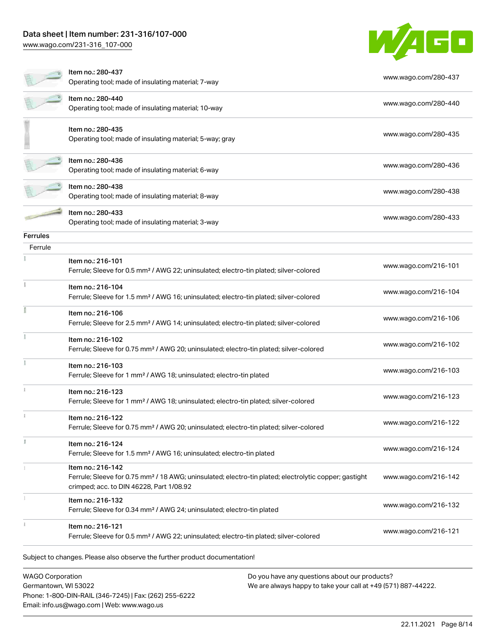[www.wago.com/231-316\\_107-000](http://www.wago.com/231-316_107-000)



|                 | Item no.: 280-437<br>Operating tool; made of insulating material; 7-way                                                                                                            | www.wago.com/280-437 |
|-----------------|------------------------------------------------------------------------------------------------------------------------------------------------------------------------------------|----------------------|
|                 | Item no.: 280-440<br>Operating tool; made of insulating material; 10-way                                                                                                           | www.wago.com/280-440 |
|                 | Item no.: 280-435<br>Operating tool; made of insulating material; 5-way; gray                                                                                                      | www.wago.com/280-435 |
|                 | Item no.: 280-436<br>Operating tool; made of insulating material; 6-way                                                                                                            | www.wago.com/280-436 |
|                 | Item no.: 280-438<br>Operating tool; made of insulating material; 8-way                                                                                                            | www.wago.com/280-438 |
|                 | ltem no.: 280-433<br>Operating tool; made of insulating material; 3-way                                                                                                            | www.wago.com/280-433 |
| <b>Ferrules</b> |                                                                                                                                                                                    |                      |
| Ferrule         |                                                                                                                                                                                    |                      |
|                 | Item no.: 216-101<br>Ferrule; Sleeve for 0.5 mm <sup>2</sup> / AWG 22; uninsulated; electro-tin plated; silver-colored                                                             | www.wago.com/216-101 |
|                 | Item no.: 216-104<br>Ferrule; Sleeve for 1.5 mm <sup>2</sup> / AWG 16; uninsulated; electro-tin plated; silver-colored                                                             | www.wago.com/216-104 |
|                 | Item no.: 216-106<br>Ferrule; Sleeve for 2.5 mm <sup>2</sup> / AWG 14; uninsulated; electro-tin plated; silver-colored                                                             | www.wago.com/216-106 |
|                 | Item no.: 216-102<br>Ferrule; Sleeve for 0.75 mm <sup>2</sup> / AWG 20; uninsulated; electro-tin plated; silver-colored                                                            | www.wago.com/216-102 |
|                 | Item no.: 216-103<br>Ferrule; Sleeve for 1 mm <sup>2</sup> / AWG 18; uninsulated; electro-tin plated                                                                               | www.wago.com/216-103 |
|                 | Item no.: 216-123<br>Ferrule; Sleeve for 1 mm <sup>2</sup> / AWG 18; uninsulated; electro-tin plated; silver-colored                                                               | www.wago.com/216-123 |
|                 | Item no.: 216-122<br>Ferrule; Sleeve for 0.75 mm <sup>2</sup> / AWG 20; uninsulated; electro-tin plated; silver-colored                                                            | www.wago.com/216-122 |
|                 | Item no.: 216-124<br>Ferrule; Sleeve for 1.5 mm <sup>2</sup> / AWG 16; uninsulated; electro-tin plated                                                                             | www.wago.com/216-124 |
|                 | Item no.: 216-142<br>Ferrule; Sleeve for 0.75 mm <sup>2</sup> / 18 AWG; uninsulated; electro-tin plated; electrolytic copper; gastight<br>crimped; acc. to DIN 46228, Part 1/08.92 | www.wago.com/216-142 |
|                 | Item no.: 216-132<br>Ferrule; Sleeve for 0.34 mm <sup>2</sup> / AWG 24; uninsulated; electro-tin plated                                                                            | www.wago.com/216-132 |
|                 | Item no.: 216-121<br>Ferrule; Sleeve for 0.5 mm <sup>2</sup> / AWG 22; uninsulated; electro-tin plated; silver-colored                                                             | www.wago.com/216-121 |

WAGO Corporation Germantown, WI 53022 Phone: 1-800-DIN-RAIL (346-7245) | Fax: (262) 255-6222 Email: info.us@wago.com | Web: www.wago.us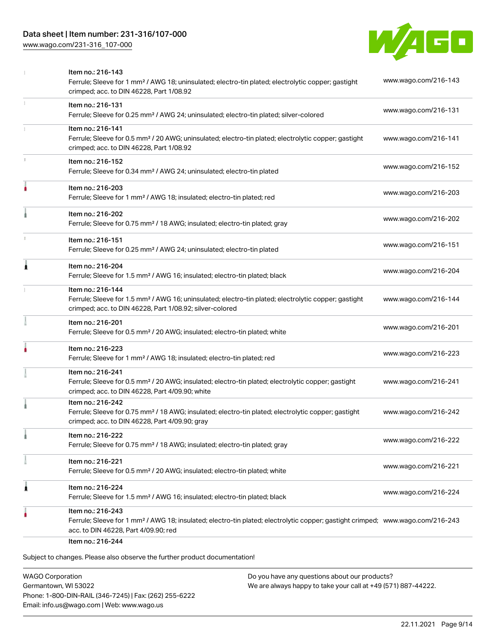[www.wago.com/231-316\\_107-000](http://www.wago.com/231-316_107-000)



|   | Item no.: 216-143<br>Ferrule; Sleeve for 1 mm <sup>2</sup> / AWG 18; uninsulated; electro-tin plated; electrolytic copper; gastight<br>crimped; acc. to DIN 46228, Part 1/08.92                         | www.wago.com/216-143 |
|---|---------------------------------------------------------------------------------------------------------------------------------------------------------------------------------------------------------|----------------------|
|   | Item no.: 216-131<br>Ferrule; Sleeve for 0.25 mm <sup>2</sup> / AWG 24; uninsulated; electro-tin plated; silver-colored                                                                                 | www.wago.com/216-131 |
|   | Item no.: 216-141<br>Ferrule; Sleeve for 0.5 mm <sup>2</sup> / 20 AWG; uninsulated; electro-tin plated; electrolytic copper; gastight<br>crimped; acc. to DIN 46228, Part 1/08.92                       | www.wago.com/216-141 |
|   | Item no.: 216-152<br>Ferrule; Sleeve for 0.34 mm <sup>2</sup> / AWG 24; uninsulated; electro-tin plated                                                                                                 | www.wago.com/216-152 |
|   | Item no.: 216-203<br>Ferrule; Sleeve for 1 mm <sup>2</sup> / AWG 18; insulated; electro-tin plated; red                                                                                                 | www.wago.com/216-203 |
|   | Item no.: 216-202<br>Ferrule; Sleeve for 0.75 mm <sup>2</sup> / 18 AWG; insulated; electro-tin plated; gray                                                                                             | www.wago.com/216-202 |
|   | Item no.: 216-151<br>Ferrule; Sleeve for 0.25 mm <sup>2</sup> / AWG 24; uninsulated; electro-tin plated                                                                                                 | www.wago.com/216-151 |
| Ă | Item no.: 216-204<br>Ferrule; Sleeve for 1.5 mm <sup>2</sup> / AWG 16; insulated; electro-tin plated; black                                                                                             | www.wago.com/216-204 |
|   | Item no.: 216-144<br>Ferrule; Sleeve for 1.5 mm <sup>2</sup> / AWG 16; uninsulated; electro-tin plated; electrolytic copper; gastight<br>crimped; acc. to DIN 46228, Part 1/08.92; silver-colored       | www.wago.com/216-144 |
|   | Item no.: 216-201<br>Ferrule; Sleeve for 0.5 mm <sup>2</sup> / 20 AWG; insulated; electro-tin plated; white                                                                                             | www.wago.com/216-201 |
|   | Item no.: 216-223<br>Ferrule; Sleeve for 1 mm <sup>2</sup> / AWG 18; insulated; electro-tin plated; red                                                                                                 | www.wago.com/216-223 |
|   | Item no.: 216-241<br>Ferrule; Sleeve for 0.5 mm <sup>2</sup> / 20 AWG; insulated; electro-tin plated; electrolytic copper; gastight<br>crimped; acc. to DIN 46228, Part 4/09.90; white                  | www.wago.com/216-241 |
|   | Item no.: 216-242<br>Ferrule; Sleeve for 0.75 mm <sup>2</sup> / 18 AWG; insulated; electro-tin plated; electrolytic copper; gastight<br>crimped; acc. to DIN 46228, Part 4/09.90; gray                  | www.wago.com/216-242 |
|   | Item no.: 216-222<br>Ferrule; Sleeve for 0.75 mm <sup>2</sup> / 18 AWG; insulated; electro-tin plated; gray                                                                                             | www.wago.com/216-222 |
|   | Item no.: 216-221<br>Ferrule; Sleeve for 0.5 mm <sup>2</sup> / 20 AWG; insulated; electro-tin plated; white                                                                                             | www.wago.com/216-221 |
| 1 | Item no.: 216-224<br>Ferrule; Sleeve for 1.5 mm <sup>2</sup> / AWG 16; insulated; electro-tin plated; black                                                                                             | www.wago.com/216-224 |
|   | Item no.: 216-243<br>Ferrule; Sleeve for 1 mm <sup>2</sup> / AWG 18; insulated; electro-tin plated; electrolytic copper; gastight crimped; www.wago.com/216-243<br>acc. to DIN 46228, Part 4/09.90; red |                      |
|   | Item no.: 216-244<br>Subject to changes. Please also observe the further product documentation!                                                                                                         |                      |

WAGO Corporation Germantown, WI 53022 Phone: 1-800-DIN-RAIL (346-7245) | Fax: (262) 255-6222 Email: info.us@wago.com | Web: www.wago.us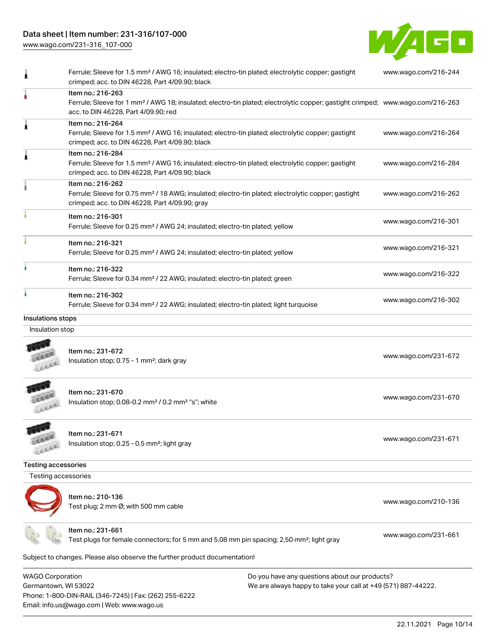Phone: 1-800-DIN-RAIL (346-7245) | Fax: (262) 255-6222

Email: info.us@wago.com | Web: www.wago.us

[www.wago.com/231-316\\_107-000](http://www.wago.com/231-316_107-000)



|                                                 | Ferrule; Sleeve for 1.5 mm <sup>2</sup> / AWG 16; insulated; electro-tin plated; electrolytic copper; gastight<br>crimped; acc. to DIN 46228, Part 4/09.90; black                                       |                                                                                                                | www.wago.com/216-244 |
|-------------------------------------------------|---------------------------------------------------------------------------------------------------------------------------------------------------------------------------------------------------------|----------------------------------------------------------------------------------------------------------------|----------------------|
| ٥                                               | Item no.: 216-263<br>Ferrule; Sleeve for 1 mm <sup>2</sup> / AWG 18; insulated; electro-tin plated; electrolytic copper; gastight crimped; www.wago.com/216-263<br>acc. to DIN 46228, Part 4/09.90; red |                                                                                                                |                      |
| 1                                               | Item no.: 216-264<br>Ferrule; Sleeve for 1.5 mm <sup>2</sup> / AWG 16; insulated; electro-tin plated; electrolytic copper; gastight<br>crimped; acc. to DIN 46228, Part 4/09.90; black                  |                                                                                                                | www.wago.com/216-264 |
| 1                                               | Item no.: 216-284<br>Ferrule; Sleeve for 1.5 mm <sup>2</sup> / AWG 16; insulated; electro-tin plated; electrolytic copper; gastight<br>crimped; acc. to DIN 46228, Part 4/09.90; black                  |                                                                                                                | www.wago.com/216-284 |
|                                                 | Item no.: 216-262<br>Ferrule; Sleeve for 0.75 mm <sup>2</sup> / 18 AWG; insulated; electro-tin plated; electrolytic copper; gastight<br>crimped; acc. to DIN 46228, Part 4/09.90; gray                  |                                                                                                                | www.wago.com/216-262 |
|                                                 | Item no.: 216-301<br>Ferrule; Sleeve for 0.25 mm <sup>2</sup> / AWG 24; insulated; electro-tin plated; yellow                                                                                           |                                                                                                                | www.wago.com/216-301 |
|                                                 | Item no.: 216-321<br>Ferrule; Sleeve for 0.25 mm <sup>2</sup> / AWG 24; insulated; electro-tin plated; yellow                                                                                           |                                                                                                                | www.wago.com/216-321 |
|                                                 | Item no.: 216-322<br>Ferrule; Sleeve for 0.34 mm <sup>2</sup> / 22 AWG; insulated; electro-tin plated; green                                                                                            |                                                                                                                | www.wago.com/216-322 |
|                                                 | Item no.: 216-302<br>Ferrule; Sleeve for 0.34 mm <sup>2</sup> / 22 AWG; insulated; electro-tin plated; light turquoise                                                                                  |                                                                                                                | www.wago.com/216-302 |
| Insulations stops                               |                                                                                                                                                                                                         |                                                                                                                |                      |
| Insulation stop                                 |                                                                                                                                                                                                         |                                                                                                                |                      |
|                                                 | Item no.: 231-672<br>Insulation stop; 0.75 - 1 mm <sup>2</sup> ; dark gray                                                                                                                              |                                                                                                                | www.wago.com/231-672 |
|                                                 | Item no.: 231-670<br>Insulation stop; 0.08-0.2 mm <sup>2</sup> / 0.2 mm <sup>2</sup> "s"; white                                                                                                         |                                                                                                                | www.wago.com/231-670 |
|                                                 | Item no.: 231-671<br>Insulation stop; 0.25 - 0.5 mm <sup>2</sup> ; light gray                                                                                                                           |                                                                                                                | www.wago.com/231-671 |
| <b>Testing accessories</b>                      |                                                                                                                                                                                                         |                                                                                                                |                      |
| Testing accessories                             |                                                                                                                                                                                                         |                                                                                                                |                      |
|                                                 | Item no.: 210-136<br>Test plug; 2 mm Ø; with 500 mm cable                                                                                                                                               |                                                                                                                | www.wago.com/210-136 |
|                                                 | Item no.: 231-661<br>Test plugs for female connectors; for 5 mm and 5.08 mm pin spacing; 2,50 mm <sup>2</sup> ; light gray                                                                              |                                                                                                                | www.wago.com/231-661 |
|                                                 | Subject to changes. Please also observe the further product documentation!                                                                                                                              |                                                                                                                |                      |
| <b>WAGO Corporation</b><br>Germantown, WI 53022 |                                                                                                                                                                                                         | Do you have any questions about our products?<br>We are always happy to take your call at +49 (571) 887-44222. |                      |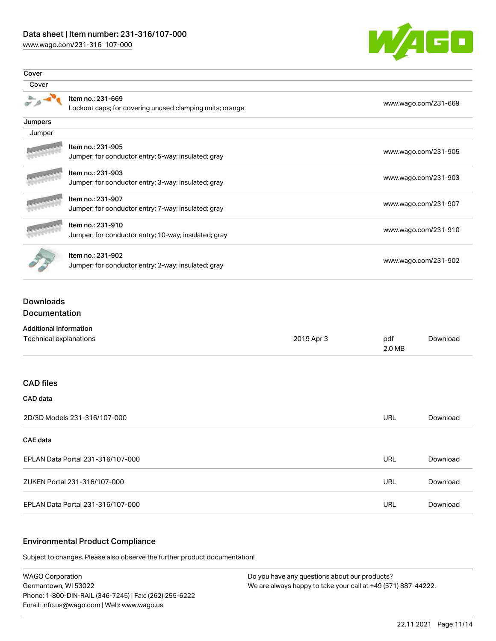[www.wago.com/231-316\\_107-000](http://www.wago.com/231-316_107-000)



| Cover   |                                                                               |                      |
|---------|-------------------------------------------------------------------------------|----------------------|
| Cover   |                                                                               |                      |
|         | Item no.: 231-669<br>Lockout caps; for covering unused clamping units; orange | www.wago.com/231-669 |
| Jumpers |                                                                               |                      |
| Jumper  |                                                                               |                      |
|         | Item no.: 231-905<br>Jumper; for conductor entry; 5-way; insulated; gray      | www.wago.com/231-905 |
|         | Item no.: 231-903<br>Jumper; for conductor entry; 3-way; insulated; gray      | www.wago.com/231-903 |
|         | Item no.: 231-907<br>Jumper; for conductor entry; 7-way; insulated; gray      | www.wago.com/231-907 |
|         | Item no.: 231-910<br>Jumper; for conductor entry; 10-way; insulated; gray     | www.wago.com/231-910 |
|         | Item no.: 231-902<br>Jumper; for conductor entry; 2-way; insulated; gray      | www.wago.com/231-902 |

## Downloads Documentation

| <b>Additional Information</b>     |            |               |          |
|-----------------------------------|------------|---------------|----------|
| Technical explanations            | 2019 Apr 3 | pdf<br>2.0 MB | Download |
|                                   |            |               |          |
| <b>CAD files</b>                  |            |               |          |
| CAD data                          |            |               |          |
| 2D/3D Models 231-316/107-000      |            | <b>URL</b>    | Download |
| CAE data                          |            |               |          |
| EPLAN Data Portal 231-316/107-000 |            | <b>URL</b>    | Download |
| ZUKEN Portal 231-316/107-000      |            | <b>URL</b>    | Download |
| EPLAN Data Portal 231-316/107-000 |            | <b>URL</b>    | Download |

# Environmental Product Compliance

Subject to changes. Please also observe the further product documentation!

WAGO Corporation Germantown, WI 53022 Phone: 1-800-DIN-RAIL (346-7245) | Fax: (262) 255-6222 Email: info.us@wago.com | Web: www.wago.us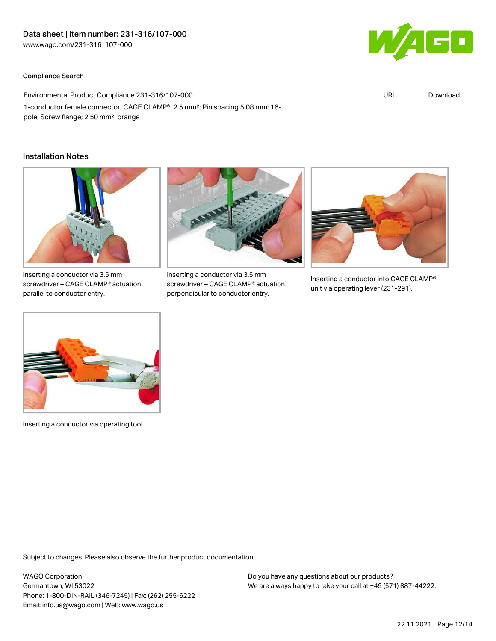#### Compliance Search



| Environmental Product Compliance 231-316/107-000                             |  | Download |
|------------------------------------------------------------------------------|--|----------|
| 1-conductor female connector; CAGE CLAMP®; 2.5 mm²; Pin spacing 5.08 mm; 16- |  |          |
| pole; Screw flange; 2,50 mm <sup>2</sup> ; orange                            |  |          |

#### Installation Notes



Inserting a conductor via 3.5 mm screwdriver – CAGE CLAMP® actuation parallel to conductor entry.



Inserting a conductor via 3.5 mm screwdriver – CAGE CLAMP® actuation perpendicular to conductor entry.



Inserting a conductor into CAGE CLAMP® unit via operating lever (231-291).



Inserting a conductor via operating tool.

Subject to changes. Please also observe the further product documentation!

WAGO Corporation Germantown, WI 53022 Phone: 1-800-DIN-RAIL (346-7245) | Fax: (262) 255-6222 Email: info.us@wago.com | Web: www.wago.us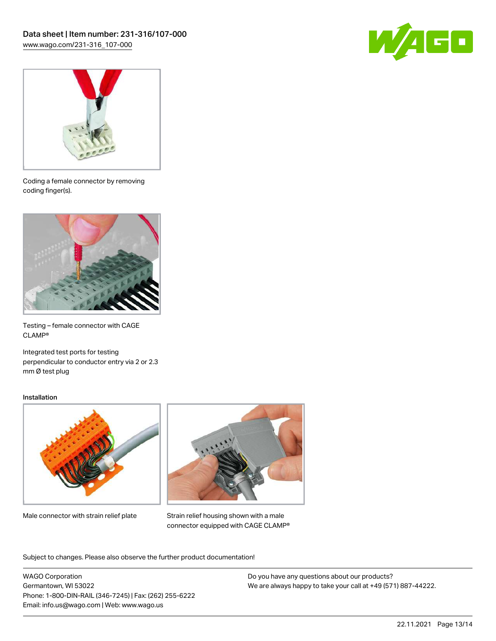



Coding a female connector by removing coding finger(s).



Testing – female connector with CAGE CLAMP®

Integrated test ports for testing perpendicular to conductor entry via 2 or 2.3 mm Ø test plug

#### Installation



Male connector with strain relief plate



Strain relief housing shown with a male connector equipped with CAGE CLAMP®

Subject to changes. Please also observe the further product documentation!

WAGO Corporation Germantown, WI 53022 Phone: 1-800-DIN-RAIL (346-7245) | Fax: (262) 255-6222 Email: info.us@wago.com | Web: www.wago.us